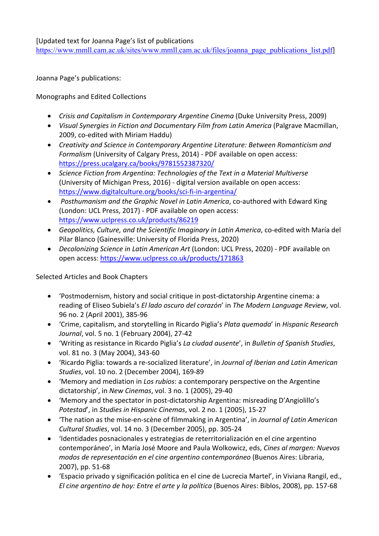[Updated text for Joanna Page's list of publications https://www.mmll.cam.ac.uk/sites/www.mmll.cam.ac.uk/files/joanna\_page\_publications\_list.pdf]

Joanna Page's publications:

Monographs and Edited Collections

- *Crisis and Capitalism in Contemporary Argentine Cinema* (Duke University Press, 2009)
- *Visual Synergies in Fiction and Documentary Film from Latin America* (Palgrave Macmillan, 2009, co-edited with Miriam Haddu)
- *Creativity and Science in Contemporary Argentine Literature: Between Romanticism and Formalism* (University of Calgary Press, 2014) - PDF available on open access: https://press.ucalgary.ca/books/9781552387320/
- *Science Fiction from Argentina: Technologies of the Text in a Material Multiverse* (University of Michigan Press, 2016) - digital version available on open access: https://www.digitalculture.org/books/sci-fi-in-argentina/
- *Posthumanism and the Graphic Novel in Latin America*, co-authored with Edward King (London: UCL Press, 2017) - PDF available on open access: https://www.uclpress.co.uk/products/86219
- *Geopolitics, Culture, and the Scientific Imaginary in Latin America*, co-edited with María del Pilar Blanco (Gainesville: University of Florida Press, 2020)
- *Decolonizing Science in Latin American Art* (London: UCL Press, 2020) PDF available on open access: https://www.uclpress.co.uk/products/171863

Selected Articles and Book Chapters

- 'Postmodernism, history and social critique in post-dictatorship Argentine cinema: a reading of Eliseo Subiela's *El lado oscuro del corazón*' in *The Modern Language Review*, vol. 96 no. 2 (April 2001), 385-96
- 'Crime, capitalism, and storytelling in Ricardo Piglia's *Plata quemada*' in *Hispanic Research Journal*, vol. 5 no. 1 (February 2004), 27-42
- 'Writing as resistance in Ricardo Piglia's *La ciudad ausente*', in *Bulletin of Spanish Studies*, vol. 81 no. 3 (May 2004), 343-60
- 'Ricardo Piglia: towards a re-socialized literature', in *Journal of Iberian and Latin American Studies*, vol. 10 no. 2 (December 2004), 169-89
- 'Memory and mediation in *Los rubios*: a contemporary perspective on the Argentine dictatorship', in *New Cinemas*, vol. 3 no. 1 (2005), 29-40
- 'Memory and the spectator in post-dictatorship Argentina: misreading D'Angiolillo's *Potestad*', in *Studies in Hispanic Cinemas*, vol. 2 no. 1 (2005), 15-27
- 'The nation as the mise-en-scène of filmmaking in Argentina', in *Journal of Latin American Cultural Studies*, vol. 14 no. 3 (December 2005), pp. 305-24
- 'Identidades posnacionales y estrategias de reterritorialización en el cine argentino contemporáneo', in María José Moore and Paula Wolkowicz, eds, *Cines al margen: Nuevos modos de representación en el cine argentino contemporáneo* (Buenos Aires: Libraria, 2007), pp. 51-68
- 'Espacio privado y significación política en el cine de Lucrecia Martel', in Viviana Rangil, ed., *El cine argentino de hoy: Entre el arte y la política* (Buenos Aires: Biblos, 2008), pp. 157-68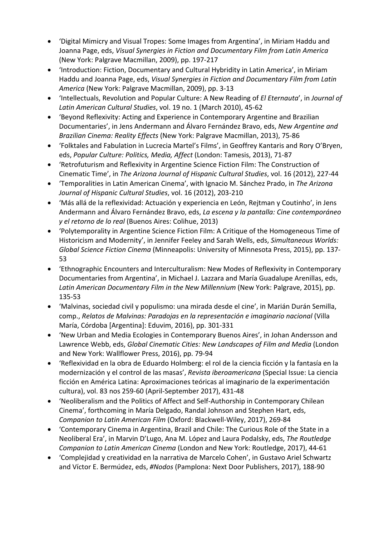- 'Digital Mimicry and Visual Tropes: Some Images from Argentina', in Miriam Haddu and Joanna Page, eds, *Visual Synergies in Fiction and Documentary Film from Latin America* (New York: Palgrave Macmillan, 2009), pp. 197-217
- 'Introduction: Fiction, Documentary and Cultural Hybridity in Latin America', in Miriam Haddu and Joanna Page, eds, *Visual Synergies in Fiction and Documentary Film from Latin America* (New York: Palgrave Macmillan, 2009), pp. 3-13
- 'Intellectuals, Revolution and Popular Culture: A New Reading of *El Eternauta*', in *Journal of Latin American Cultural Studies*, vol. 19 no. 1 (March 2010), 45-62
- 'Beyond Reflexivity: Acting and Experience in Contemporary Argentine and Brazilian Documentaries', in Jens Andermann and Álvaro Fernández Bravo, eds, *New Argentine and Brazilian Cinema: Reality Effects* (New York: Palgrave Macmillan, 2013), 75-86
- 'Folktales and Fabulation in Lucrecia Martel's Films', in Geoffrey Kantaris and Rory O'Bryen, eds, *Popular Culture: Politics, Media, Affect* (London: Tamesis, 2013), 71-87
- 'Retrofuturism and Reflexivity in Argentine Science Fiction Film: The Construction of Cinematic Time', in *The Arizona Journal of Hispanic Cultural Studies*, vol. 16 (2012), 227-44
- 'Temporalities in Latin American Cinema', with Ignacio M. Sánchez Prado, in *The Arizona Journal of Hispanic Cultural Studies*, vol. 16 (2012), 203-210
- 'Más allá de la reflexividad: Actuación y experiencia en León, Rejtman y Coutinho', in Jens Andermann and Álvaro Fernández Bravo, eds, *La escena y la pantalla: Cine contemporáneo y el retorno de lo real* (Buenos Aires: Colihue, 2013)
- 'Polytemporality in Argentine Science Fiction Film: A Critique of the Homogeneous Time of Historicism and Modernity', in Jennifer Feeley and Sarah Wells, eds, *Simultaneous Worlds: Global Science Fiction Cinema* (Minneapolis: University of Minnesota Press, 2015), pp. 137- 53
- 'Ethnographic Encounters and Interculturalism: New Modes of Reflexivity in Contemporary Documentaries from Argentina', in Michael J. Lazzara and María Guadalupe Arenillas, eds, *Latin American Documentary Film in the New Millennium* (New York: Palgrave, 2015), pp. 135-53
- 'Malvinas, sociedad civil y populismo: una mirada desde el cine', in Marián Durán Semilla, comp., *Relatos de Malvinas: Paradojas en la representación e imaginario nacional* (Villa María, Córdoba [Argentina]: Eduvim, 2016), pp. 301-331
- 'New Urban and Media Ecologies in Contemporary Buenos Aires', in Johan Andersson and Lawrence Webb, eds, *Global Cinematic Cities: New Landscapes of Film and Media* (London and New York: Wallflower Press, 2016), pp. 79-94
- 'Reflexividad en la obra de Eduardo Holmberg: el rol de la ciencia ficción y la fantasía en la modernización y el control de las masas', *Revista iberoamericana* (Special Issue: La ciencia ficción en América Latina: Aproximaciones teóricas al imaginario de la experimentación cultura), vol. 83 nos 259-60 (April-September 2017), 431-48
- 'Neoliberalism and the Politics of Affect and Self-Authorship in Contemporary Chilean Cinema', forthcoming in María Delgado, Randal Johnson and Stephen Hart, eds, *Companion to Latin American Film* (Oxford: Blackwell-Wiley, 2017), 269-84
- 'Contemporary Cinema in Argentina, Brazil and Chile: The Curious Role of the State in a Neoliberal Era', in Marvin D'Lugo, Ana M. López and Laura Podalsky, eds, *The Routledge Companion to Latin American Cinema* (London and New York: Routledge, 2017), 44-61
- 'Complejidad y creatividad en la narrativa de Marcelo Cohen', in Gustavo Ariel Schwartz and Víctor E. Bermúdez, eds, *#Nodos* (Pamplona: Next Door Publishers, 2017), 188-90